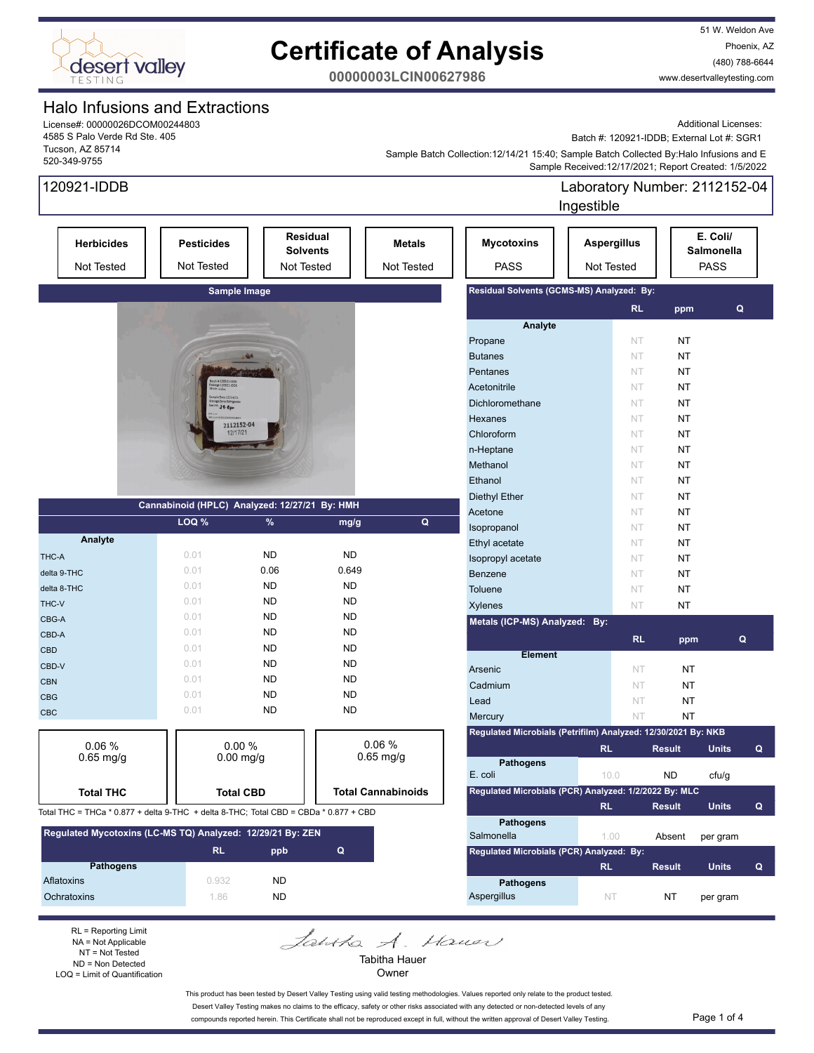

51 W. Weldon Ave Phoenix, AZ (480) 788-6644 www.desertvalleytesting.com

**00000003LCIN00627986**

### Halo Infusions and Extractions

License#: 00000026DCOM00244803 4585 S Palo Verde Rd Ste. 405 Tucson, AZ 85714 520-349-9755

Additional Licenses:

Batch #: 120921-IDDB; External Lot #: SGR1

 Sample Received:12/17/2021; Report Created: 1/5/2022 Sample Batch Collection:12/14/21 15:40; Sample Batch Collected By:Halo Infusions and E

| 120921-IDDB                                                                          |                                                    |                  |                                                  |                                    |                                                               | Ingestible                       | Laboratory Number: 2112152-04 |               |                                       |              |
|--------------------------------------------------------------------------------------|----------------------------------------------------|------------------|--------------------------------------------------|------------------------------------|---------------------------------------------------------------|----------------------------------|-------------------------------|---------------|---------------------------------------|--------------|
| <b>Herbicides</b><br>Not Tested                                                      | <b>Pesticides</b><br>Not Tested                    |                  | Residual<br><b>Solvents</b><br><b>Not Tested</b> | <b>Metals</b><br><b>Not Tested</b> | <b>Mycotoxins</b><br><b>PASS</b>                              | <b>Aspergillus</b><br>Not Tested |                               |               | E. Coli/<br>Salmonella<br><b>PASS</b> |              |
|                                                                                      |                                                    | Sample Image     |                                                  |                                    | Residual Solvents (GCMS-MS) Analyzed: By:                     |                                  |                               |               |                                       |              |
|                                                                                      |                                                    |                  |                                                  |                                    |                                                               |                                  | RL.                           | ppm           | Q                                     |              |
|                                                                                      |                                                    |                  |                                                  |                                    | Analyte                                                       |                                  |                               |               |                                       |              |
|                                                                                      |                                                    |                  |                                                  |                                    | Propane                                                       |                                  | NT                            | NT            |                                       |              |
|                                                                                      |                                                    | 麻布               |                                                  |                                    | <b>Butanes</b>                                                |                                  | NT                            | <b>NT</b>     |                                       |              |
|                                                                                      |                                                    |                  |                                                  |                                    | Pentanes                                                      |                                  | NT                            | <b>NT</b>     |                                       |              |
|                                                                                      | ch #:120921-1008<br>Inge 120921-1006<br>Ift Indice |                  |                                                  |                                    | Acetonitrile                                                  |                                  | NT                            | <b>NT</b>     |                                       |              |
|                                                                                      | mple Date: 12/14/21<br>39. Ffer                    |                  |                                                  |                                    | Dichloromethane                                               |                                  | NT                            | NT            |                                       |              |
|                                                                                      |                                                    | 2112152-04       |                                                  |                                    | Hexanes                                                       |                                  | NT                            | NT            |                                       |              |
|                                                                                      |                                                    | 12/17/21         |                                                  |                                    | Chloroform                                                    |                                  | NT                            | <b>NT</b>     |                                       |              |
|                                                                                      |                                                    |                  |                                                  |                                    | n-Heptane                                                     |                                  | NT                            | <b>NT</b>     |                                       |              |
|                                                                                      |                                                    |                  |                                                  |                                    | Methanol                                                      |                                  | NT                            | <b>NT</b>     |                                       |              |
|                                                                                      |                                                    |                  |                                                  |                                    | Ethanol                                                       |                                  | NT                            | <b>NT</b>     |                                       |              |
|                                                                                      |                                                    |                  |                                                  |                                    | <b>Diethyl Ether</b>                                          |                                  | NT                            | <b>NT</b>     |                                       |              |
|                                                                                      | Cannabinoid (HPLC) Analyzed: 12/27/21 By: HMH      |                  |                                                  |                                    | Acetone                                                       |                                  | NT                            | <b>NT</b>     |                                       |              |
|                                                                                      | LOQ %                                              | %                | mg/g                                             | Q                                  | Isopropanol                                                   |                                  | NT                            | <b>NT</b>     |                                       |              |
| Analyte                                                                              |                                                    |                  |                                                  |                                    | Ethyl acetate                                                 |                                  | NT                            | NT            |                                       |              |
| THC-A                                                                                | 0.01                                               | <b>ND</b>        | <b>ND</b>                                        |                                    | Isopropyl acetate                                             |                                  | NT                            | NT            |                                       |              |
| delta 9-THC                                                                          | 0.01                                               | 0.06             | 0.649                                            |                                    | Benzene                                                       |                                  | NT                            | NT            |                                       |              |
| delta 8-THC                                                                          | 0.01                                               | <b>ND</b>        | <b>ND</b>                                        |                                    | Toluene                                                       |                                  | NT                            | NT            |                                       |              |
| THC-V                                                                                | 0.01                                               | <b>ND</b>        | <b>ND</b>                                        |                                    | Xylenes                                                       |                                  | NT                            | <b>NT</b>     |                                       |              |
| CBG-A                                                                                | 0.01                                               | <b>ND</b>        | <b>ND</b>                                        |                                    | Metals (ICP-MS) Analyzed: By:                                 |                                  |                               |               |                                       |              |
| CBD-A                                                                                | 0.01                                               | <b>ND</b>        | <b>ND</b>                                        |                                    |                                                               |                                  |                               |               |                                       |              |
| <b>CBD</b>                                                                           | 0.01                                               | <b>ND</b>        | <b>ND</b>                                        |                                    |                                                               |                                  | RL                            | ppm           | Q                                     |              |
| CBD-V                                                                                | 0.01                                               | <b>ND</b>        | <b>ND</b>                                        |                                    | <b>Element</b>                                                |                                  |                               |               |                                       |              |
| <b>CBN</b>                                                                           | 0.01                                               | <b>ND</b>        | <b>ND</b>                                        |                                    | Arsenic                                                       |                                  | NT                            | ΝT            |                                       |              |
| <b>CBG</b>                                                                           | 0.01                                               | <b>ND</b>        | <b>ND</b>                                        |                                    | Cadmium                                                       |                                  | NT                            | ΝT            |                                       |              |
| CBC                                                                                  | 0.01                                               | <b>ND</b>        | <b>ND</b>                                        |                                    | Lead                                                          |                                  | NT                            | ΝT            |                                       |              |
|                                                                                      |                                                    |                  |                                                  |                                    | Mercury                                                       |                                  | NT                            | <b>NT</b>     |                                       |              |
| 0.06%                                                                                |                                                    | 0.00%            |                                                  | 0.06%                              | Regulated Microbials (Petrifilm) Analyzed: 12/30/2021 By: NKB |                                  |                               |               |                                       |              |
| $0.65$ mg/g                                                                          |                                                    | $0.00$ mg/g      |                                                  | $0.65$ mg/g                        |                                                               | <b>RL</b>                        |                               | <b>Result</b> | <b>Units</b>                          | Q            |
|                                                                                      |                                                    |                  |                                                  |                                    | <b>Pathogens</b><br>E. coli                                   | 10.0                             |                               | <b>ND</b>     | cfu/g                                 |              |
|                                                                                      |                                                    |                  |                                                  | <b>Total Cannabinoids</b>          | Regulated Microbials (PCR) Analyzed: 1/2/2022 By: MLC         |                                  |                               |               |                                       |              |
| <b>Total THC</b>                                                                     |                                                    | <b>Total CBD</b> |                                                  |                                    |                                                               | <b>RL</b>                        |                               |               |                                       |              |
| Total THC = THCa * 0.877 + delta 9-THC + delta 8-THC; Total CBD = CBDa * 0.877 + CBD |                                                    |                  |                                                  |                                    |                                                               |                                  |                               | Result        | <b>Units</b>                          | Q            |
| Regulated Mycotoxins (LC-MS TQ) Analyzed: 12/29/21 By: ZEN                           |                                                    |                  |                                                  |                                    | <b>Pathogens</b><br>Salmonella                                | 1.00                             |                               | Absent        | per gram                              |              |
|                                                                                      | RL                                                 | ppb              | $\mathbf Q$                                      |                                    | Regulated Microbials (PCR) Analyzed: By:                      |                                  |                               |               |                                       |              |
| <b>Pathogens</b>                                                                     |                                                    |                  |                                                  |                                    |                                                               | RL.                              |                               | <b>Result</b> | <b>Units</b>                          | $\mathbf{Q}$ |
| Aflatoxins                                                                           | 0.932                                              | <b>ND</b>        |                                                  |                                    | <b>Pathogens</b>                                              |                                  |                               |               |                                       |              |
| Ochratoxins                                                                          | 1.86                                               | <b>ND</b>        |                                                  |                                    | Aspergillus                                                   | NT.                              |                               | NT            | per gram                              |              |

RL = Reporting Limit NA = Not Applicable NT = Not Tested ND = Non Detected LOQ = Limit of Quantification

Jantha A. Hauer Tabitha Hauer

Owner

This product has been tested by Desert Valley Testing using valid testing methodologies. Values reported only relate to the product tested. Desert Valley Testing makes no claims to the efficacy, safety or other risks associated with any detected or non-detected levels of any compounds reported herein. This Certificate shall not be reproduced except in full, without the written approval of Desert Valley Testing. Page 1 of 4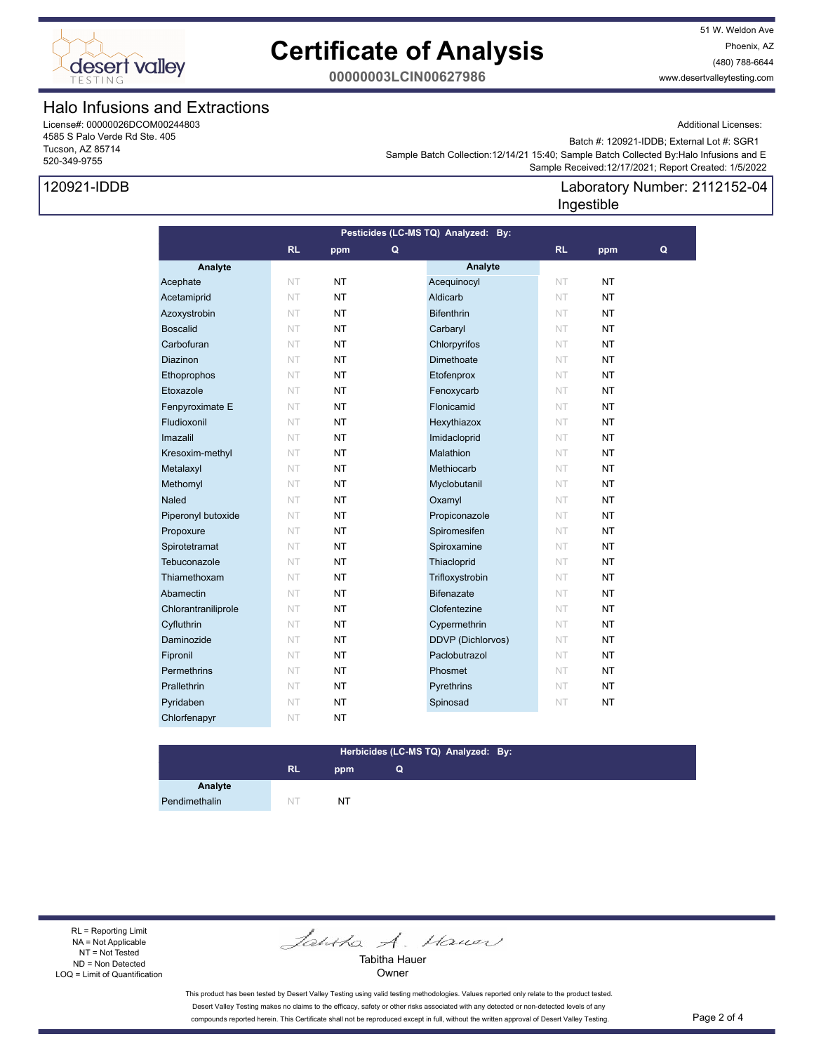

51 W. Weldon Ave Phoenix, AZ (480) 788-6644 www.desertvalleytesting.com

**00000003LCIN00627986**

### Halo Infusions and Extractions

License#: 00000026DCOM00244803 4585 S Palo Verde Rd Ste. 405 Tucson, AZ 85714 520-349-9755

## 120921-IDDB

Additional Licenses:

 Sample Batch Collection:12/14/21 15:40; Sample Batch Collected By:Halo Infusions and E Batch #: 120921-IDDB; External Lot #: SGR1

## Sample Received:12/17/2021; Report Created: 1/5/2022

### Laboratory Number: 2112152-04 Ingestible

| Pesticides (LC-MS TQ) Analyzed: By: |           |           |   |                   |           |           |   |
|-------------------------------------|-----------|-----------|---|-------------------|-----------|-----------|---|
|                                     | RL        | ppm       | Q |                   | <b>RL</b> | ppm       | Q |
| Analyte                             |           |           |   | Analyte           |           |           |   |
| Acephate                            | NT.       | <b>NT</b> |   | Acequinocyl       | NT        | <b>NT</b> |   |
| Acetamiprid                         | NT        | <b>NT</b> |   | Aldicarb          | NT        | <b>NT</b> |   |
| Azoxystrobin                        | NT        | <b>NT</b> |   | <b>Bifenthrin</b> | NT        | <b>NT</b> |   |
| <b>Boscalid</b>                     | NT        | <b>NT</b> |   | Carbaryl          | NT        | <b>NT</b> |   |
| Carbofuran                          | NT        | <b>NT</b> |   | Chlorpyrifos      | NT        | <b>NT</b> |   |
| <b>Diazinon</b>                     | <b>NT</b> | <b>NT</b> |   | Dimethoate        | NT        | <b>NT</b> |   |
| Ethoprophos                         | NT        | <b>NT</b> |   | Etofenprox        | NT        | NT        |   |
| Etoxazole                           | NT        | <b>NT</b> |   | Fenoxycarb        | NT        | <b>NT</b> |   |
| Fenpyroximate E                     | NT        | <b>NT</b> |   | Flonicamid        | NT        | <b>NT</b> |   |
| Fludioxonil                         | NT        | NT        |   | Hexythiazox       | NT        | <b>NT</b> |   |
| Imazalil                            | <b>NT</b> | <b>NT</b> |   | Imidacloprid      | NT        | <b>NT</b> |   |
| Kresoxim-methyl                     | NT        | <b>NT</b> |   | Malathion         | NT        | <b>NT</b> |   |
| Metalaxyl                           | <b>NT</b> | <b>NT</b> |   | Methiocarb        | NT        | <b>NT</b> |   |
| Methomyl                            | NT        | NT        |   | Myclobutanil      | NT        | NT        |   |
| <b>Naled</b>                        | NT        | <b>NT</b> |   | Oxamyl            | NT        | <b>NT</b> |   |
| Piperonyl butoxide                  | NT        | <b>NT</b> |   | Propiconazole     | NT        | <b>NT</b> |   |
| Propoxure                           | NT        | NT        |   | Spiromesifen      | NT        | NT        |   |
| Spirotetramat                       | NT        | <b>NT</b> |   | Spiroxamine       | NT        | <b>NT</b> |   |
| Tebuconazole                        | NT        | <b>NT</b> |   | Thiacloprid       | NT        | <b>NT</b> |   |
| Thiamethoxam                        | NT        | NT        |   | Trifloxystrobin   | NT        | <b>NT</b> |   |
| Abamectin                           | NT        | NT.       |   | <b>Bifenazate</b> | NT        | <b>NT</b> |   |
| Chlorantraniliprole                 | NT        | <b>NT</b> |   | Clofentezine      | NT        | <b>NT</b> |   |
| Cyfluthrin                          | NT        | <b>NT</b> |   | Cypermethrin      | NT        | <b>NT</b> |   |
| Daminozide                          | NT        | <b>NT</b> |   | DDVP (Dichlorvos) | NT        | <b>NT</b> |   |
| Fipronil                            | NT        | <b>NT</b> |   | Paclobutrazol     | NT        | <b>NT</b> |   |
| Permethrins                         | NT        | <b>NT</b> |   | Phosmet           | NT        | <b>NT</b> |   |
| Prallethrin                         | NT        | <b>NT</b> |   | Pyrethrins        | NT        | NT        |   |
| Pyridaben                           | NT        | <b>NT</b> |   | Spinosad          | NT        | <b>NT</b> |   |
| Chlorfenapyr                        | NT        | <b>NT</b> |   |                   |           |           |   |

### **RL ppm Herbicides (LC-MS TQ) Analyzed: By: Q**

Pendimethalin NT NT NT

**Analyte**

RL = Reporting Limit NA = Not Applicable NT = Not Tested ND = Non Detected LOQ = Limit of Quantification

Jantha A. Hauer

Tabitha Hauer Owner

This product has been tested by Desert Valley Testing using valid testing methodologies. Values reported only relate to the product tested. Desert Valley Testing makes no claims to the efficacy, safety or other risks associated with any detected or non-detected levels of any compounds reported herein. This Certificate shall not be reproduced except in full, without the written approval of Desert Valley Testing. Page 2 of 4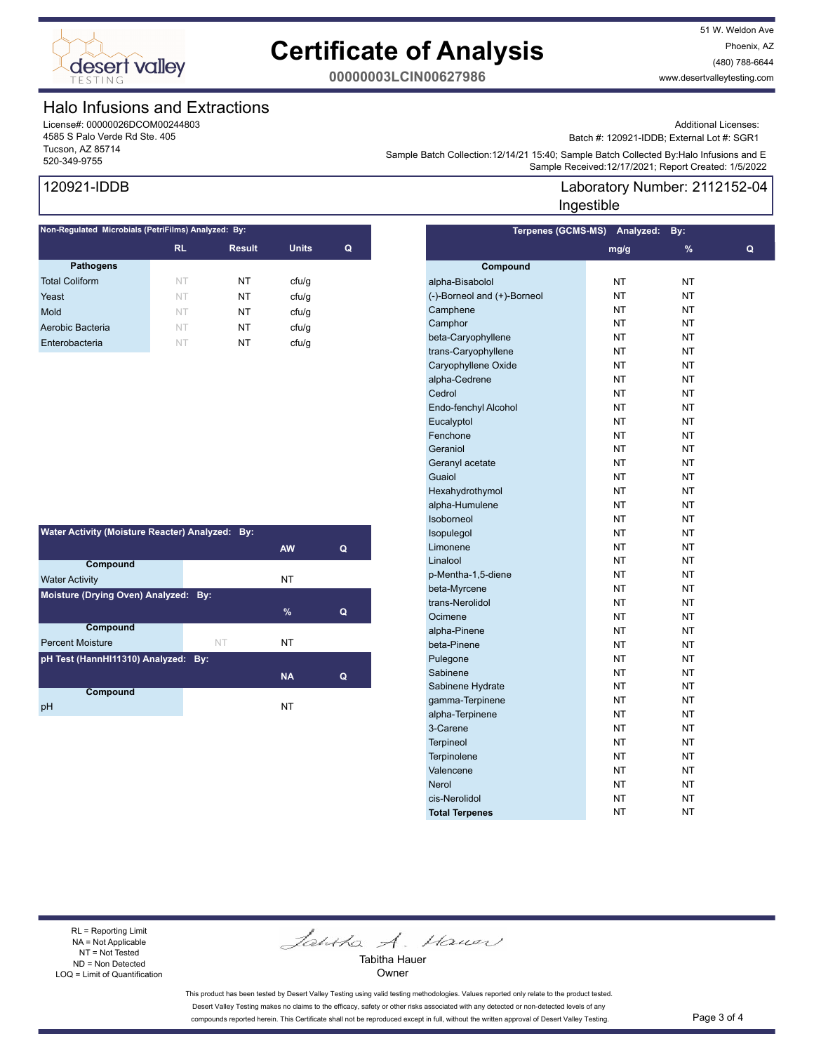

51 W. Weldon Ave Phoenix, AZ (480) 788-6644 www.desertvalleytesting.com

**00000003LCIN00627986**

### Halo Infusions and Extractions

License#: 00000026DCOM00244803 4585 S Palo Verde Rd Ste. 405 Tucson, AZ 85714

Additional Licenses:

Batch #: 120921-IDDB; External Lot #: SGR1

Laboratory Number: 2112152-04

Sample Batch Collection: 12/14/21 15:40, Sample Batch Collection (12/14/21 15:40, Sample Batch Collection (12<br>Sample Received:12/17/2021; Report Created: 1/5/2022 Sample Batch Collection:12/14/21 15:40; Sample Batch Collected By:Halo Infusions and E

**Terpenes (GCMS-MS) Analyzed: By:** 

Ingestible

## 120921-IDDB

| Non-Regulated Microbials (PetriFilms) Analyzed: By: |           |               |              |   |  |  |
|-----------------------------------------------------|-----------|---------------|--------------|---|--|--|
|                                                     | <b>RL</b> | <b>Result</b> | <b>Units</b> | Q |  |  |
| <b>Pathogens</b>                                    |           |               |              |   |  |  |
| <b>Total Coliform</b>                               | NT        | NT            | cfu/g        |   |  |  |
| Yeast                                               | NT        | NT            | cfu/q        |   |  |  |
| Mold                                                | NT        | NT            | cfu/g        |   |  |  |
| Aerobic Bacteria                                    | NT        | NT            | cfu/g        |   |  |  |
| Enterobacteria                                      | NT        | NT            | cfu/g        |   |  |  |
|                                                     |           |               |              |   |  |  |

| Water Activity (Moisture Reacter) Analyzed: By: |    |           |   |  |  |  |
|-------------------------------------------------|----|-----------|---|--|--|--|
|                                                 |    | <b>AW</b> | Q |  |  |  |
| Compound                                        |    |           |   |  |  |  |
| <b>Water Activity</b>                           |    | NT        |   |  |  |  |
| Moisture (Drying Oven) Analyzed: By:            |    |           |   |  |  |  |
|                                                 |    | $\%$      | Q |  |  |  |
| <b>Compound</b>                                 |    |           |   |  |  |  |
| <b>Percent Moisture</b>                         | NT | NΤ        |   |  |  |  |
| pH Test (HannHI11310) Analyzed: By:             |    |           |   |  |  |  |
|                                                 |    | <b>NA</b> | Q |  |  |  |
| Compound                                        |    |           |   |  |  |  |
| рH                                              |    | NT        |   |  |  |  |

|                             | mg/g      | %         | Q |
|-----------------------------|-----------|-----------|---|
| Compound                    |           |           |   |
| alpha-Bisabolol             | NT        | NT        |   |
| (-)-Borneol and (+)-Borneol | <b>NT</b> | NT        |   |
| Camphene                    | NT        | <b>NT</b> |   |
| Camphor                     | NT        | <b>NT</b> |   |
| beta-Caryophyllene          | NT        | NT        |   |
| trans-Caryophyllene         | <b>NT</b> | <b>NT</b> |   |
| Caryophyllene Oxide         | <b>NT</b> | <b>NT</b> |   |
| alpha-Cedrene               | NT        | NT        |   |
| Cedrol                      | NT        | NT        |   |
| Endo-fenchyl Alcohol        | NT        | <b>NT</b> |   |
| Eucalyptol                  | NT        | NT        |   |
| Fenchone                    | NT        | NT        |   |
| Geraniol                    | <b>NT</b> | <b>NT</b> |   |
| Geranyl acetate             | NT        | NT        |   |
| Guaiol                      | NT        | <b>NT</b> |   |
| Hexahydrothymol             | NT        | <b>NT</b> |   |
| alpha-Humulene              | <b>NT</b> | <b>NT</b> |   |
| Isoborneol                  | NT        | NT        |   |
| Isopulegol                  | <b>NT</b> | <b>NT</b> |   |
| Limonene                    | NT        | <b>NT</b> |   |
| Linalool                    | NT        | NT        |   |
| p-Mentha-1,5-diene          | NT        | NT        |   |
| beta-Myrcene                | <b>NT</b> | <b>NT</b> |   |
| trans-Nerolidol             | NT        | NT        |   |
| Ocimene                     | <b>NT</b> | <b>NT</b> |   |
| alpha-Pinene                | NT        | NT        |   |
| beta-Pinene                 | NT        | NT        |   |
| Pulegone                    | NT        | NT        |   |
| Sabinene                    | NT        | NT        |   |
| Sabinene Hydrate            | <b>NT</b> | <b>NT</b> |   |
| gamma-Terpinene             | NT        | NT        |   |
| alpha-Terpinene             | NT        | NT        |   |
| 3-Carene                    | NT        | NT        |   |
| <b>Terpineol</b>            | NT        | NT        |   |
| Terpinolene                 | <b>NT</b> | <b>NT</b> |   |
| Valencene                   | <b>NT</b> | <b>NT</b> |   |
| <b>Nerol</b>                | NΤ        | NT        |   |
| cis-Nerolidol               | NT        | NT        |   |
| <b>Total Terpenes</b>       | NT        | <b>NT</b> |   |
|                             |           |           |   |

RL = Reporting Limit NA = Not Applicable NT = Not Tested ND = Non Detected LOQ = Limit of Quantification

Jantha A. Hauer

Tabitha Hauer Owner

This product has been tested by Desert Valley Testing using valid testing methodologies. Values reported only relate to the product tested. Desert Valley Testing makes no claims to the efficacy, safety or other risks associated with any detected or non-detected levels of any compounds reported herein. This Certificate shall not be reproduced except in full, without the written approval of Desert Valley Testing. Page 3 of 4